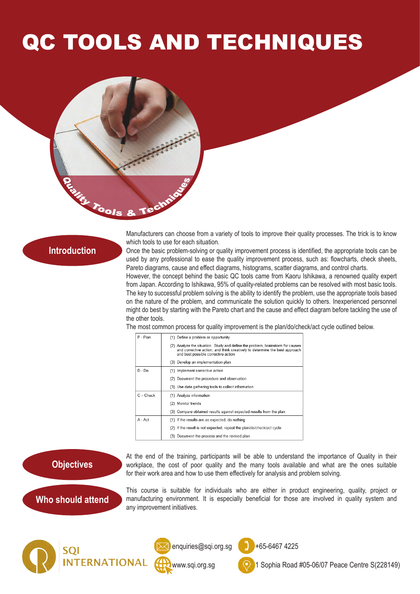## QC TOOLS AND TECHNIQUES



## **Introduction**

Manufacturers can choose from a variety of tools to improve their quality processes. The trick is to know which tools to use for each situation.

Once the basic problem-solving or quality improvement process is identified, the appropriate tools can be used by any professional to ease the quality improvement process, such as: flowcharts, check sheets, Pareto diagrams, cause and effect diagrams, histograms, scatter diagrams, and control charts.

However, the concept behind the basic QC tools came from Kaoru Ishikawa, a renowned quality expert from Japan. According to Ishikawa, 95% of quality-related problems can be resolved with most basic tools. The key to successful problem solving is the ability to identify the problem, use the appropriate tools based on the nature of the problem, and communicate the solution quickly to others. Inexperienced personnel might do best by starting with the Pareto chart and the cause and effect diagram before tackling the use of the other tools.

The most common process for quality improvement is the plan/do/check/act cycle outlined below.

| P - Plan    | (1) Define a problem or opportunity                                                                                                                                                                 |
|-------------|-----------------------------------------------------------------------------------------------------------------------------------------------------------------------------------------------------|
|             | (2) Analyze the situation. Study and define the problem, brainstorm for causes<br>and corrective action; and think creatively to determine the best approach<br>and best possible corrective action |
|             | (3) Develop an implementation plan                                                                                                                                                                  |
| $D - Do$    | (1) Implement corrective action                                                                                                                                                                     |
|             | (2) Document the procedure and observation                                                                                                                                                          |
|             | (3) Use data gathering tools to collect information                                                                                                                                                 |
| $C - Check$ | (1) Analyze information                                                                                                                                                                             |
|             | (2) Monitor trends                                                                                                                                                                                  |
|             | (3) Compare obtained results against expected results from the plan                                                                                                                                 |
| A - Act     | (1) If the results are as expected, do nothing                                                                                                                                                      |
|             | (2) If the result is not expected, repeat the plan/do/check/act cycle                                                                                                                               |
|             | (3) Document the process and the revised plan                                                                                                                                                       |

**Objectives**

At the end of the training, participants will be able to understand the importance of Quality in their workplace, the cost of poor quality and the many tools available and what are the ones suitable for their work area and how to use them effectively for analysis and problem solving.

**Who should attend**

This course is suitable for individuals who are either in product engineering, quality, project or manufacturing environment. It is especially beneficial for those are involved in quality system and any improvement initiatives.







enquiries@sqi.org.sg  $\bullet$  +65-6467 4225